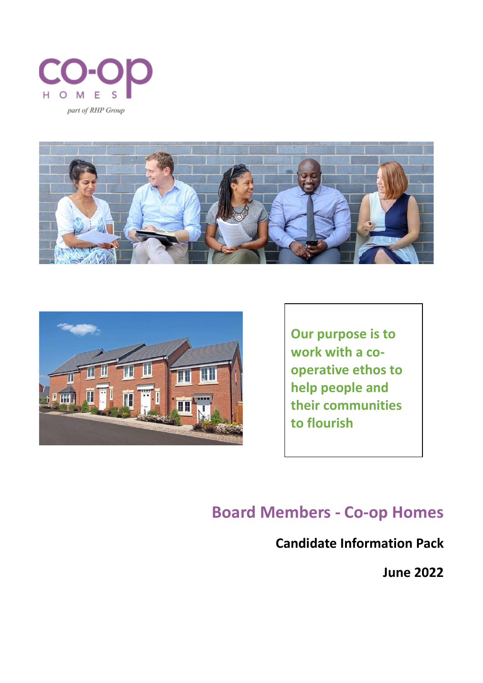





**Our purpose is to work with a cooperative ethos to help people and their communities to flourish**

# **Board Members - Co-op Homes**

## **Candidate Information Pack**

**June 2022**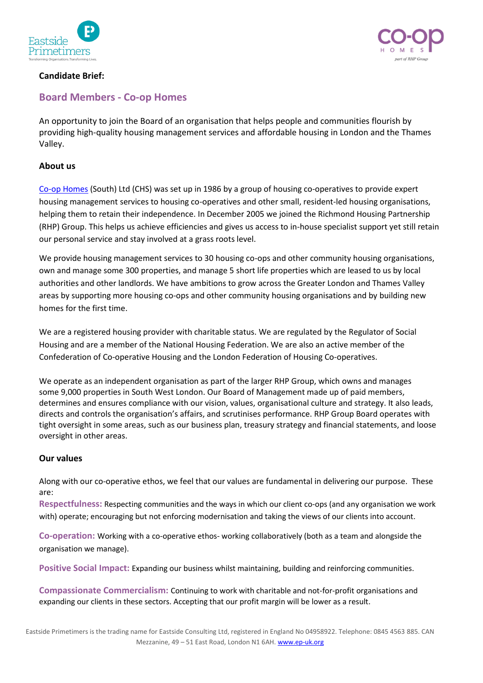



#### **Candidate Brief:**

### **Board Members - Co-op Homes**

An opportunity to join the Board of an organisation that helps people and communities flourish by providing high-quality housing management services and affordable housing in London and the Thames Valley.

#### **About us**

[Co-op Homes](https://www.coophomes.coop/) (South) Ltd (CHS) was set up in 1986 by a group of housing co-operatives to provide expert housing management services to housing co-operatives and other small, resident-led housing organisations, helping them to retain their independence. In December 2005 we joined the Richmond Housing Partnership (RHP) Group. This helps us achieve efficiencies and gives us access to in-house specialist support yet still retain our personal service and stay involved at a grass roots level.

We provide housing management services to 30 housing co-ops and other community housing organisations, own and manage some 300 properties, and manage 5 short life properties which are leased to us by local authorities and other landlords. We have ambitions to grow across the Greater London and Thames Valley areas by supporting more housing co-ops and other community housing organisations and by building new homes for the first time.

We are a registered housing provider with charitable status. We are regulated by the Regulator of Social Housing and are a member of the National Housing Federation. We are also an active member of the Confederation of Co-operative Housing and the London Federation of Housing Co-operatives.

We operate as an independent organisation as part of the larger RHP Group, which owns and manages some 9,000 properties in South West London. Our Board of Management made up of paid members, determines and ensures compliance with our vision, values, organisational culture and strategy. It also leads, directs and controls the organisation's affairs, and scrutinises performance. RHP Group Board operates with tight oversight in some areas, such as our business plan, treasury strategy and financial statements, and loose oversight in other areas.

#### **Our values**

Along with our co-operative ethos, we feel that our values are fundamental in delivering our purpose. These are:

**Respectfulness:** Respecting communities and the ways in which our client co-ops (and any organisation we work with) operate; encouraging but not enforcing modernisation and taking the views of our clients into account.

**Co-operation:** Working with a co-operative ethos- working collaboratively (both as a team and alongside the organisation we manage).

**Positive Social Impact:** Expanding our business whilst maintaining, building and reinforcing communities.

**Compassionate Commercialism:** Continuing to work with charitable and not-for-profit organisations and expanding our clients in these sectors. Accepting that our profit margin will be lower as a result.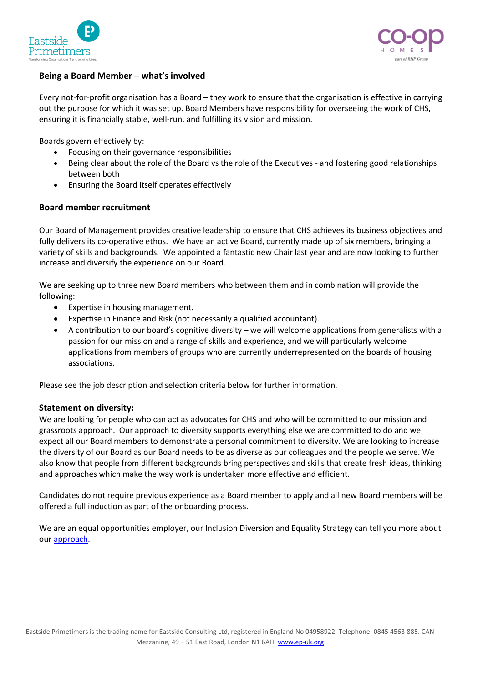



#### **Being a Board Member – what's involved**

Every not-for-profit organisation has a Board – they work to ensure that the organisation is effective in carrying out the purpose for which it was set up. Board Members have responsibility for overseeing the work of CHS, ensuring it is financially stable, well-run, and fulfilling its vision and mission.

Boards govern effectively by:

- Focusing on their governance responsibilities
- Being clear about the role of the Board vs the role of the Executives and fostering good relationships between both
- Ensuring the Board itself operates effectively

#### **Board member recruitment**

Our Board of Management provides creative leadership to ensure that CHS achieves its business objectives and fully delivers its co-operative ethos. We have an active Board, currently made up of six members, bringing a variety of skills and backgrounds. We appointed a fantastic new Chair last year and are now looking to further increase and diversify the experience on our Board.

We are seeking up to three new Board members who between them and in combination will provide the following:

- Expertise in housing management.
- Expertise in Finance and Risk (not necessarily a qualified accountant).
- A contribution to our board's cognitive diversity we will welcome applications from generalists with a passion for our mission and a range of skills and experience, and we will particularly welcome applications from members of groups who are currently underrepresented on the boards of housing associations.

Please see the job description and selection criteria below for further information.

#### **Statement on diversity:**

We are looking for people who can act as advocates for CHS and who will be committed to our mission and grassroots approach. Our approach to diversity supports everything else we are committed to do and we expect all our Board members to demonstrate a personal commitment to diversity. We are looking to increase the diversity of our Board as our Board needs to be as diverse as our colleagues and the people we serve. We also know that people from different backgrounds bring perspectives and skills that create fresh ideas, thinking and approaches which make the way work is undertaken more effective and efficient.

Candidates do not require previous experience as a Board member to apply and all new Board members will be offered a full induction as part of the onboarding process.

We are an equal opportunities employer, our Inclusion Diversion and Equality Strategy can tell you more about our [approach.](https://www.coophomes.coop/about-us/services-for-all/)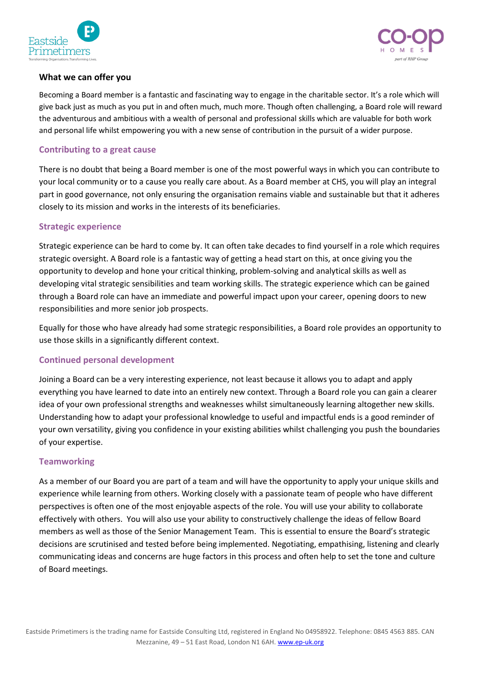



#### **What we can offer you**

Becoming a Board member is a fantastic and fascinating way to engage in the charitable sector. It's a role which will give back just as much as you put in and often much, much more. Though often challenging, a Board role will reward the adventurous and ambitious with a wealth of personal and professional skills which are valuable for both work and personal life whilst empowering you with a new sense of contribution in the pursuit of a wider purpose.

#### **Contributing to a great cause**

There is no doubt that being a Board member is one of the most powerful ways in which you can contribute to your local community or to a cause you really care about. As a Board member at CHS, you will play an integral part in good governance, not only ensuring the organisation remains viable and sustainable but that it adheres closely to its mission and works in the interests of its beneficiaries.

#### **Strategic experience**

Strategic experience can be hard to come by. It can often take decades to find yourself in a role which requires strategic oversight. A Board role is a fantastic way of getting a head start on this, at once giving you the opportunity to develop and hone your critical thinking, problem-solving and analytical skills as well as developing vital strategic sensibilities and team working skills. The strategic experience which can be gained through a Board role can have an immediate and powerful impact upon your career, opening doors to new responsibilities and more senior job prospects.

Equally for those who have already had some strategic responsibilities, a Board role provides an opportunity to use those skills in a significantly different context.

#### **Continued personal development**

Joining a Board can be a very interesting experience, not least because it allows you to adapt and apply everything you have learned to date into an entirely new context. Through a Board role you can gain a clearer idea of your own professional strengths and weaknesses whilst simultaneously learning altogether new skills. Understanding how to adapt your professional knowledge to useful and impactful ends is a good reminder of your own versatility, giving you confidence in your existing abilities whilst challenging you push the boundaries of your expertise.

#### **Teamworking**

As a member of our Board you are part of a team and will have the opportunity to apply your unique skills and experience while learning from others. Working closely with a passionate team of people who have different perspectives is often one of the most enjoyable aspects of the role. You will use your ability to collaborate effectively with others. You will also use your ability to constructively challenge the ideas of fellow Board members as well as those of the Senior Management Team. This is essential to ensure the Board's strategic decisions are scrutinised and tested before being implemented. Negotiating, empathising, listening and clearly communicating ideas and concerns are huge factors in this process and often help to set the tone and culture of Board meetings.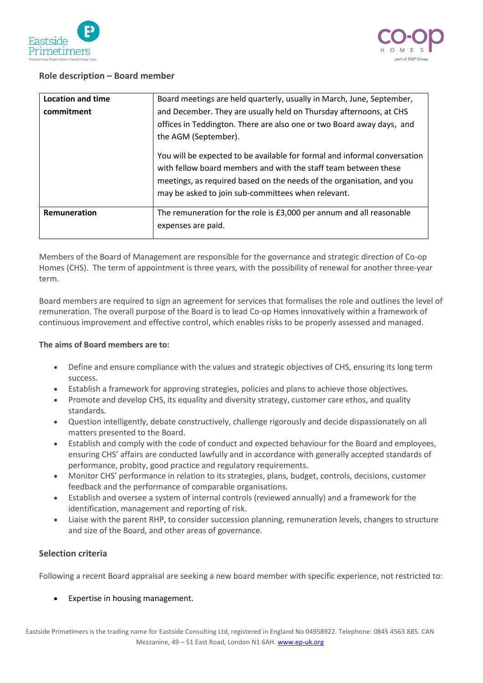



#### **Role description – Board member**

| <b>Location and time</b> | Board meetings are held quarterly, usually in March, June, September,                                                                                                                                                                                                       |
|--------------------------|-----------------------------------------------------------------------------------------------------------------------------------------------------------------------------------------------------------------------------------------------------------------------------|
| commitment               | and December. They are usually held on Thursday afternoons, at CHS<br>offices in Teddington. There are also one or two Board away days, and<br>the AGM (September).                                                                                                         |
|                          | You will be expected to be available for formal and informal conversation<br>with fellow board members and with the staff team between these<br>meetings, as required based on the needs of the organisation, and you<br>may be asked to join sub-committees when relevant. |
| Remuneration             | The remuneration for the role is £3,000 per annum and all reasonable<br>expenses are paid.                                                                                                                                                                                  |

Members of the Board of Management are responsible for the governance and strategic direction of Co-op Homes (CHS). The term of appointment is three years, with the possibility of renewal for another three-year term.

Board members are required to sign an agreement for services that formalises the role and outlines the level of remuneration. The overall purpose of the Board is to lead Co-op Homes innovatively within a framework of continuous improvement and effective control, which enables risks to be properly assessed and managed.

#### **The aims of Board members are to:**

- Define and ensure compliance with the values and strategic objectives of CHS, ensuring its long term success.
- Establish a framework for approving strategies, policies and plans to achieve those objectives.
- Promote and develop CHS, its equality and diversity strategy, customer care ethos, and quality standards.
- Question intelligently, debate constructively, challenge rigorously and decide dispassionately on all matters presented to the Board.
- Establish and comply with the code of conduct and expected behaviour for the Board and employees, ensuring CHS' affairs are conducted lawfully and in accordance with generally accepted standards of performance, probity, good practice and regulatory requirements.
- Monitor CHS' performance in relation to its strategies, plans, budget, controls, decisions, customer feedback and the performance of comparable organisations.
- Establish and oversee a system of internal controls (reviewed annually) and a framework for the identification, management and reporting of risk.
- Liaise with the parent RHP, to consider succession planning, remuneration levels, changes to structure and size of the Board, and other areas of governance.

#### **Selection criteria**

Following a recent Board appraisal are seeking a new board member with specific experience, not restricted to:

Expertise in housing management.